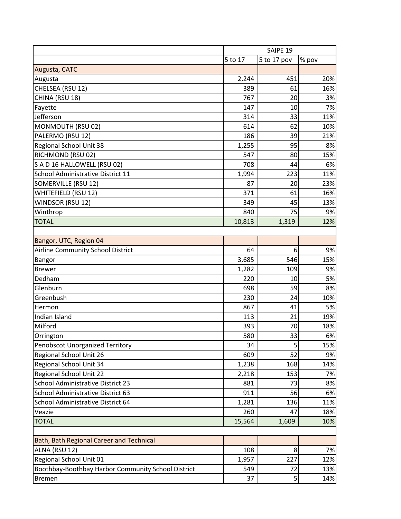|                                                    | SAIPE 19 |             |       |
|----------------------------------------------------|----------|-------------|-------|
|                                                    | 5 to 17  | 5 to 17 pov | % pov |
| Augusta, CATC                                      |          |             |       |
| Augusta                                            | 2,244    | 451         | 20%   |
| CHELSEA (RSU 12)                                   | 389      | 61          | 16%   |
| CHINA (RSU 18)                                     | 767      | 20          | 3%    |
| Fayette                                            | 147      | 10          | 7%    |
| Jefferson                                          | 314      | 33          | 11%   |
| MONMOUTH (RSU 02)                                  | 614      | 62          | 10%   |
| PALERMO (RSU 12)                                   | 186      | 39          | 21%   |
| Regional School Unit 38                            | 1,255    | 95          | 8%    |
| RICHMOND (RSU 02)                                  | 547      | 80          | 15%   |
| S A D 16 HALLOWELL (RSU 02)                        | 708      | 44          | 6%    |
| School Administrative District 11                  | 1,994    | 223         | 11%   |
| SOMERVILLE (RSU 12)                                | 87       | 20          | 23%   |
| <b>WHITEFIELD (RSU 12)</b>                         | 371      | 61          | 16%   |
| WINDSOR (RSU 12)                                   | 349      | 45          | 13%   |
| Winthrop                                           | 840      | 75          | 9%    |
| <b>TOTAL</b>                                       | 10,813   | 1,319       | 12%   |
|                                                    |          |             |       |
| Bangor, UTC, Region 04                             |          |             |       |
| Airline Community School District                  | 64       | 6           | 9%    |
| Bangor                                             | 3,685    | 546         | 15%   |
| <b>Brewer</b>                                      | 1,282    | 109         | 9%    |
| Dedham                                             | 220      | 10          | 5%    |
| Glenburn                                           | 698      | 59          | 8%    |
| Greenbush                                          | 230      | 24          | 10%   |
| Hermon                                             | 867      | 41          | 5%    |
| Indian Island                                      | 113      | 21          | 19%   |
| Milford                                            | 393      | 70          | 18%   |
| Orrington                                          | 580      | 33          | 6%    |
| <b>Penobscot Unorganized Territory</b>             | 34       | 5           | 15%   |
| Regional School Unit 26                            | 609      | 52          | 9%    |
| Regional School Unit 34                            | 1,238    | 168         | 14%   |
| <b>Regional School Unit 22</b>                     | 2,218    | 153         | 7%    |
| School Administrative District 23                  | 881      | 73          | 8%    |
| School Administrative District 63                  | 911      | 56          | 6%    |
| School Administrative District 64                  | 1,281    | 136         | 11%   |
| Veazie                                             | 260      | 47          | 18%   |
| <b>TOTAL</b>                                       | 15,564   | 1,609       | 10%   |
|                                                    |          |             |       |
| Bath, Bath Regional Career and Technical           |          |             |       |
| ALNA (RSU 12)                                      | 108      | 8           | 7%    |
| Regional School Unit 01                            | 1,957    | 227         | 12%   |
| Boothbay-Boothbay Harbor Community School District | 549      | 72          | 13%   |
| <b>Bremen</b>                                      | 37       | 5           | 14%   |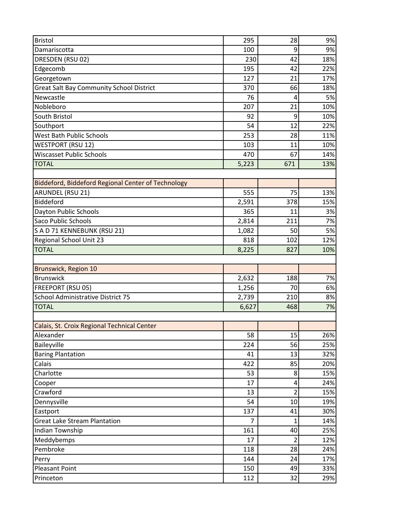| Bristol                                            | 295            | 28             | 9%  |
|----------------------------------------------------|----------------|----------------|-----|
| Damariscotta                                       | 100            | 9              | 9%  |
| DRESDEN (RSU 02)                                   | 230            | 42             | 18% |
| Edgecomb                                           | 195            | 42             | 22% |
| Georgetown                                         | 127            | 21             | 17% |
| <b>Great Salt Bay Community School District</b>    | 370            | 66             | 18% |
| Newcastle                                          | 76             | 4              | 5%  |
| Nobleboro                                          | 207            | 21             | 10% |
| South Bristol                                      | 92             | 9              | 10% |
| Southport                                          | 54             | 12             | 22% |
| <b>West Bath Public Schools</b>                    | 253            | 28             | 11% |
| <b>WESTPORT (RSU 12)</b>                           | 103            | 11             | 10% |
| <b>Wiscasset Public Schools</b>                    | 470            | 67             | 14% |
| <b>TOTAL</b>                                       | 5,223          | 671            | 13% |
|                                                    |                |                |     |
| Biddeford, Biddeford Regional Center of Technology |                |                |     |
| ARUNDEL (RSU 21)                                   | 555            | 75             | 13% |
| Biddeford                                          | 2,591          | 378            | 15% |
| Dayton Public Schools                              | 365            | 11             | 3%  |
| Saco Public Schools                                | 2,814          | 211            | 7%  |
| S A D 71 KENNEBUNK (RSU 21)                        | 1,082          | 50             | 5%  |
| <b>Regional School Unit 23</b>                     | 818            | 102            | 12% |
| <b>TOTAL</b>                                       | 8,225          | 827            | 10% |
|                                                    |                |                |     |
| Brunswick, Region 10                               |                |                |     |
| <b>Brunswick</b>                                   | 2,632          | 188            | 7%  |
| FREEPORT (RSU 05)                                  | 1,256          | 70             | 6%  |
| <b>School Administrative District 75</b>           | 2,739          | 210            | 8%  |
| <b>TOTAL</b>                                       | 6,627          | 468            | 7%  |
|                                                    |                |                |     |
| Calais, St. Croix Regional Technical Center        |                |                |     |
| Alexander                                          | 58             | 15             | 26% |
| Baileyville                                        | 224            | 56             | 25% |
| <b>Baring Plantation</b>                           | 41             | 13             | 32% |
| Calais                                             | 422            | 85             | 20% |
| Charlotte                                          | 53             | 8              | 15% |
| Cooper                                             | 17             | 4              | 24% |
| Crawford                                           | 13             | $\overline{2}$ | 15% |
| Dennysville                                        | 54             | 10             | 19% |
| Eastport                                           | 137            | 41             | 30% |
| <b>Great Lake Stream Plantation</b>                | $\overline{7}$ | 1              | 14% |
| Indian Township                                    | 161            | 40             | 25% |
| Meddybemps                                         | 17             | $\overline{2}$ | 12% |
| Pembroke                                           | 118            | 28             | 24% |
| Perry                                              | 144            | 24             | 17% |
| <b>Pleasant Point</b>                              | 150            | 49             | 33% |
| Princeton                                          | 112            | 32             | 29% |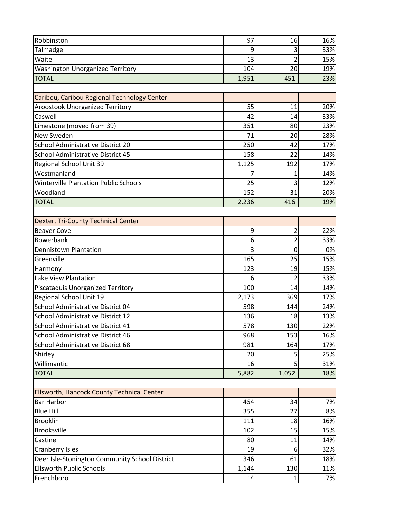| Robbinston                                        | 97    | 16             | 16% |
|---------------------------------------------------|-------|----------------|-----|
| Talmadge                                          | 9     | 3              | 33% |
| Waite                                             | 13    | $\overline{2}$ | 15% |
| <b>Washington Unorganized Territory</b>           | 104   | 20             | 19% |
| <b>TOTAL</b>                                      | 1,951 | 451            | 23% |
|                                                   |       |                |     |
| Caribou, Caribou Regional Technology Center       |       |                |     |
| <b>Aroostook Unorganized Territory</b>            | 55    | 11             | 20% |
| Caswell                                           | 42    | 14             | 33% |
| Limestone (moved from 39)                         | 351   | 80             | 23% |
| New Sweden                                        | 71    | 20             | 28% |
| School Administrative District 20                 | 250   | 42             | 17% |
| School Administrative District 45                 | 158   | 22             | 14% |
| Regional School Unit 39                           | 1,125 | 192            | 17% |
| Westmanland                                       |       | 1              | 14% |
| <b>Winterville Plantation Public Schools</b>      | 25    | 3              | 12% |
| Woodland                                          | 152   | 31             | 20% |
| <b>TOTAL</b>                                      | 2,236 | 416            | 19% |
|                                                   |       |                |     |
| Dexter, Tri-County Technical Center               |       |                |     |
| <b>Beaver Cove</b>                                | 9     | 2              | 22% |
| Bowerbank                                         | 6     | $\overline{2}$ | 33% |
| <b>Dennistown Plantation</b>                      | 3     | $\mathbf 0$    | 0%  |
| Greenville                                        | 165   | 25             | 15% |
| Harmony                                           | 123   | 19             | 15% |
| <b>Lake View Plantation</b>                       | 6     | 2              | 33% |
| Piscataquis Unorganized Territory                 | 100   | 14             | 14% |
| Regional School Unit 19                           | 2,173 | 369            | 17% |
| School Administrative District 04                 | 598   | 144            | 24% |
| School Administrative District 12                 | 136   | 18             | 13% |
| School Administrative District 41                 | 578   | 130            | 22% |
| School Administrative District 46                 | 968   | 153            | 16% |
| School Administrative District 68                 | 981   | 164            | 17% |
| Shirley                                           | 20    | 5              | 25% |
| Willimantic                                       | 16    | 5              | 31% |
| <b>TOTAL</b>                                      | 5,882 | 1,052          | 18% |
|                                                   |       |                |     |
| <b>Ellsworth, Hancock County Technical Center</b> |       |                |     |
| <b>Bar Harbor</b>                                 | 454   | 34             | 7%  |
| <b>Blue Hill</b>                                  | 355   | 27             | 8%  |
| Brooklin                                          | 111   | 18             | 16% |
| Brooksville                                       | 102   | 15             | 15% |
| Castine                                           | 80    | 11             | 14% |
| <b>Cranberry Isles</b>                            | 19    | 6              | 32% |
| Deer Isle-Stonington Community School District    | 346   | 61             | 18% |
| <b>Ellsworth Public Schools</b>                   | 1,144 | 130            | 11% |
| Frenchboro                                        | 14    | 1              | 7%  |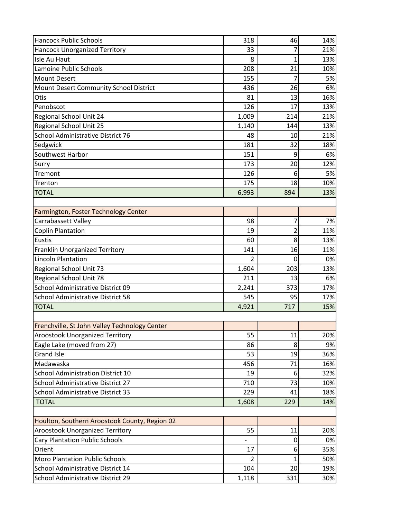| <b>Hancock Public Schools</b>                 | 318            | 46             | 14% |
|-----------------------------------------------|----------------|----------------|-----|
| <b>Hancock Unorganized Territory</b>          | 33             | 7              | 21% |
| Isle Au Haut                                  | 8              | 1              | 13% |
| Lamoine Public Schools                        | 208            | 21             | 10% |
| <b>Mount Desert</b>                           | 155            | 7              | 5%  |
| Mount Desert Community School District        | 436            | 26             | 6%  |
| Otis                                          | 81             | 13             | 16% |
| Penobscot                                     | 126            | 17             | 13% |
| Regional School Unit 24                       | 1,009          | 214            | 21% |
| <b>Regional School Unit 25</b>                | 1,140          | 144            | 13% |
| School Administrative District 76             | 48             | 10             | 21% |
| Sedgwick                                      | 181            | 32             | 18% |
| Southwest Harbor                              | 151            | 9              | 6%  |
| Surry                                         | 173            | 20             | 12% |
| Tremont                                       | 126            | 6              | 5%  |
| Trenton                                       | 175            | 18             | 10% |
| <b>TOTAL</b>                                  | 6,993          | 894            | 13% |
|                                               |                |                |     |
| Farmington, Foster Technology Center          |                |                |     |
| Carrabassett Valley                           | 98             | 7              | 7%  |
| <b>Coplin Plantation</b>                      | 19             | $\overline{2}$ | 11% |
| <b>Eustis</b>                                 | 60             | 8              | 13% |
| Franklin Unorganized Territory                | 141            | 16             | 11% |
| <b>Lincoln Plantation</b>                     | $\mathcal{P}$  | $\mathbf{0}$   | 0%  |
| Regional School Unit 73                       | 1,604          | 203            | 13% |
| Regional School Unit 78                       | 211            | 13             | 6%  |
| School Administrative District 09             | 2,241          | 373            | 17% |
| School Administrative District 58             | 545            | 95             | 17% |
| <b>TOTAL</b>                                  | 4,921          | 717            | 15% |
|                                               |                |                |     |
| Frenchville, St John Valley Technology Center |                |                |     |
| <b>Aroostook Unorganized Territory</b>        | 55             | 11             | 20% |
| Eagle Lake (moved from 27)                    | 86             | 8              | 9%  |
| <b>Grand Isle</b>                             | 53             | 19             | 36% |
| Madawaska                                     | 456            | 71             | 16% |
| School Administration District 10             | 19             | 6              | 32% |
| School Administrative District 27             | 710            | 73             | 10% |
| School Administrative District 33             | 229            | 41             | 18% |
| <b>TOTAL</b>                                  | 1,608          | 229            | 14% |
|                                               |                |                |     |
| Houlton, Southern Aroostook County, Region 02 |                |                |     |
| <b>Aroostook Unorganized Territory</b>        | 55             | 11             | 20% |
| <b>Cary Plantation Public Schools</b>         |                | 0              | 0%  |
| Orient                                        | 17             | 6              | 35% |
| Moro Plantation Public Schools                | $\overline{2}$ | 1              | 50% |
| School Administrative District 14             | 104            | 20             | 19% |
| School Administrative District 29             | 1,118          | 331            | 30% |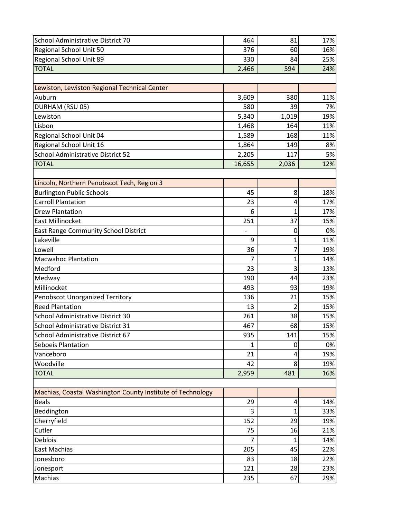| School Administrative District 70                          | 464    | 81           | 17% |
|------------------------------------------------------------|--------|--------------|-----|
| Regional School Unit 50                                    | 376    | 60           | 16% |
| Regional School Unit 89                                    | 330    | 84           | 25% |
| <b>TOTAL</b>                                               | 2,466  | 594          | 24% |
|                                                            |        |              |     |
| Lewiston, Lewiston Regional Technical Center               |        |              |     |
| Auburn                                                     | 3,609  | 380          | 11% |
| DURHAM (RSU 05)                                            | 580    | 39           | 7%  |
| Lewiston                                                   | 5,340  | 1,019        | 19% |
| Lisbon                                                     | 1,468  | 164          | 11% |
| Regional School Unit 04                                    | 1,589  | 168          | 11% |
| Regional School Unit 16                                    | 1,864  | 149          | 8%  |
| School Administrative District 52                          | 2,205  | 117          | 5%  |
| <b>TOTAL</b>                                               | 16,655 | 2,036        | 12% |
|                                                            |        |              |     |
| Lincoln, Northern Penobscot Tech, Region 3                 |        |              |     |
| <b>Burlington Public Schools</b>                           | 45     | 8            | 18% |
| <b>Carroll Plantation</b>                                  | 23     | 4            | 17% |
| <b>Drew Plantation</b>                                     | 6      | $\mathbf{1}$ | 17% |
| <b>East Millinocket</b>                                    | 251    | 37           | 15% |
| <b>East Range Community School District</b>                |        | 0            | 0%  |
| Lakeville                                                  | 9      | 1            | 11% |
| Lowell                                                     | 36     | 7            | 19% |
| <b>Macwahoc Plantation</b>                                 | 7      | 1            | 14% |
| Medford                                                    | 23     | 3            | 13% |
| Medway                                                     | 190    | 44           | 23% |
| Millinocket                                                | 493    | 93           | 19% |
| Penobscot Unorganized Territory                            | 136    | 21           | 15% |
| <b>Reed Plantation</b>                                     | 13     | 2            | 15% |
| School Administrative District 30                          | 261    | 38           | 15% |
| <b>School Administrative District 31</b>                   | 467    | 68           | 15% |
| School Administrative District 67                          | 935    | 141          | 15% |
| Seboeis Plantation                                         | 1      | 0            | 0%  |
| Vanceboro                                                  | 21     | 4            | 19% |
| Woodville                                                  | 42     | 8            | 19% |
| <b>TOTAL</b>                                               | 2,959  | 481          | 16% |
|                                                            |        |              |     |
| Machias, Coastal Washington County Institute of Technology |        |              |     |
| <b>Beals</b>                                               | 29     | 4            | 14% |
| Beddington                                                 | 3      | 1            | 33% |
| Cherryfield                                                | 152    | 29           | 19% |
| Cutler                                                     | 75     | 16           | 21% |
| <b>Deblois</b>                                             | 7      | 1            | 14% |
| East Machias                                               | 205    | 45           | 22% |
| Jonesboro                                                  | 83     | 18           | 22% |
| Jonesport                                                  | 121    | 28           | 23% |
| Machias                                                    | 235    | 67           | 29% |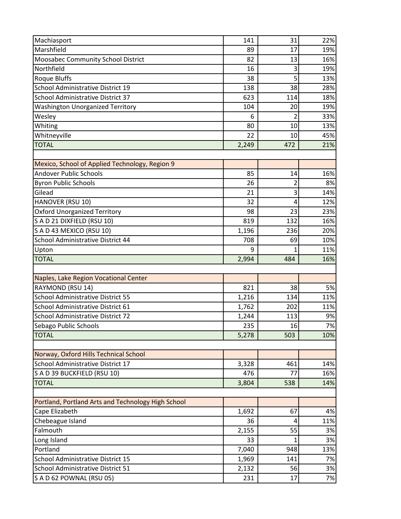| Machiasport                                        | 141   | 31             | 22%       |
|----------------------------------------------------|-------|----------------|-----------|
| Marshfield                                         | 89    | 17             | 19%       |
| Moosabec Community School District                 | 82    | 13             | 16%       |
| Northfield                                         | 16    | 3              | 19%       |
| <b>Roque Bluffs</b>                                | 38    | 5              | 13%       |
| School Administrative District 19                  | 138   | 38             | 28%       |
| School Administrative District 37                  | 623   | 114            | 18%       |
| <b>Washington Unorganized Territory</b>            | 104   | 20             | 19%       |
| Wesley                                             | 6     | $\overline{2}$ | 33%       |
| Whiting                                            | 80    | 10             | 13%       |
| Whitneyville                                       | 22    | 10             | 45%       |
| <b>TOTAL</b>                                       | 2,249 | 472            | 21%       |
|                                                    |       |                |           |
| Mexico, School of Applied Technology, Region 9     |       |                |           |
| <b>Andover Public Schools</b>                      | 85    | 14             | 16%       |
| <b>Byron Public Schools</b>                        | 26    | 2              | 8%        |
| Gilead                                             | 21    | 3              | 14%       |
| HANOVER (RSU 10)                                   | 32    | 4              | 12%       |
| <b>Oxford Unorganized Territory</b>                | 98    | 23             | 23%       |
| S A D 21 DIXFIELD (RSU 10)                         | 819   | 132            | 16%       |
| S A D 43 MEXICO (RSU 10)                           | 1,196 | 236            | 20%       |
| School Administrative District 44                  | 708   | 69             | 10%       |
| Upton                                              | 9     | 1              | 11%       |
|                                                    |       |                |           |
| <b>TOTAL</b>                                       | 2,994 | 484            | 16%       |
|                                                    |       |                |           |
| Naples, Lake Region Vocational Center              |       |                |           |
| RAYMOND (RSU 14)                                   | 821   | 38             |           |
| <b>School Administrative District 55</b>           | 1,216 | 134            | 5%<br>11% |
| School Administrative District 61                  | 1,762 | 202            | 11%       |
| School Administrative District 72                  | 1,244 | 113            | 9%        |
| Sebago Public Schools                              | 235   | 16             | 7%        |
| <b>TOTAL</b>                                       | 5,278 | 503            | 10%       |
|                                                    |       |                |           |
| Norway, Oxford Hills Technical School              |       |                |           |
| School Administrative District 17                  | 3,328 | 461            | 14%       |
| S A D 39 BUCKFIELD (RSU 10)                        | 476   | 77             | 16%       |
| <b>TOTAL</b>                                       | 3,804 | 538            | 14%       |
|                                                    |       |                |           |
| Portland, Portland Arts and Technology High School |       |                |           |
| Cape Elizabeth                                     | 1,692 | 67             | 4%        |
| Chebeague Island                                   | 36    | 4              | 11%       |
| Falmouth                                           | 2,155 | 55             | 3%        |
| Long Island                                        | 33    | 1              | 3%        |
| Portland                                           | 7,040 | 948            | 13%       |
| School Administrative District 15                  | 1,969 | 141            | 7%        |
| <b>School Administrative District 51</b>           | 2,132 | 56             | 3%        |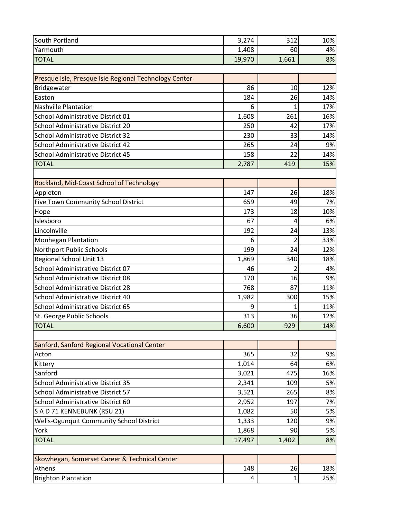| South Portland                                        | 3,274  | 312           | 10% |
|-------------------------------------------------------|--------|---------------|-----|
| Yarmouth                                              | 1,408  | 60            | 4%  |
| <b>TOTAL</b>                                          | 19,970 | 1,661         | 8%  |
|                                                       |        |               |     |
| Presque Isle, Presque Isle Regional Technology Center |        |               |     |
| Bridgewater                                           | 86     | 10            | 12% |
| Easton                                                | 184    | 26            | 14% |
| <b>Nashville Plantation</b>                           | 6      | 1             | 17% |
| School Administrative District 01                     | 1,608  | 261           | 16% |
| School Administrative District 20                     | 250    | 42            | 17% |
| <b>School Administrative District 32</b>              | 230    | 33            | 14% |
| School Administrative District 42                     | 265    | 24            | 9%  |
| School Administrative District 45                     | 158    | 22            | 14% |
| <b>TOTAL</b>                                          | 2,787  | 419           | 15% |
|                                                       |        |               |     |
| Rockland, Mid-Coast School of Technology              |        |               |     |
| Appleton                                              | 147    | 26            | 18% |
| Five Town Community School District                   | 659    | 49            | 7%  |
| Hope                                                  | 173    | 18            | 10% |
| Islesboro                                             | 67     | 4             | 6%  |
| Lincolnville                                          | 192    | 24            | 13% |
| <b>Monhegan Plantation</b>                            | 6      | 2             | 33% |
| Northport Public Schools                              | 199    | 24            | 12% |
| Regional School Unit 13                               | 1,869  | 340           | 18% |
| School Administrative District 07                     | 46     | $\mathfrak z$ | 4%  |
| School Administrative District 08                     | 170    | 16            | 9%  |
| <b>School Administrative District 28</b>              | 768    | 87            | 11% |
| School Administrative District 40                     | 1,982  | 300           | 15% |
| <b>School Administrative District 65</b>              | 9      | 1             | 11% |
| St. George Public Schools                             | 313    | 36            | 12% |
| <b>TOTAL</b>                                          | 6,600  | 929           | 14% |
|                                                       |        |               |     |
| Sanford, Sanford Regional Vocational Center           |        |               |     |
| Acton                                                 | 365    | 32            | 9%  |
| Kittery                                               | 1,014  | 64            | 6%  |
| Sanford                                               | 3,021  | 475           | 16% |
| School Administrative District 35                     | 2,341  | 109           | 5%  |
| School Administrative District 57                     | 3,521  | 265           | 8%  |
| School Administrative District 60                     | 2,952  | 197           | 7%  |
| S A D 71 KENNEBUNK (RSU 21)                           | 1,082  | 50            | 5%  |
| Wells-Ogunquit Community School District              | 1,333  | 120           | 9%  |
| York                                                  | 1,868  | 90            | 5%  |
| <b>TOTAL</b>                                          | 17,497 | 1,402         | 8%  |
|                                                       |        |               |     |
| Skowhegan, Somerset Career & Technical Center         |        |               |     |
| Athens                                                | 148    | 26            | 18% |
| <b>Brighton Plantation</b>                            | 4      | 1             | 25% |